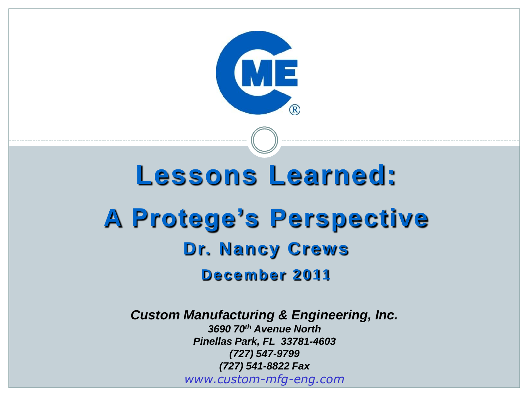

# **Lessons Learned: A Protege's Perspective Dr. Nancy Crews December 2011**

*Custom Manufacturing & Engineering, Inc.*

*www.custom-mfg-eng.com 3690 70th Avenue North Pinellas Park, FL 33781-4603 (727) 547-9799 (727) 541-8822 Fax*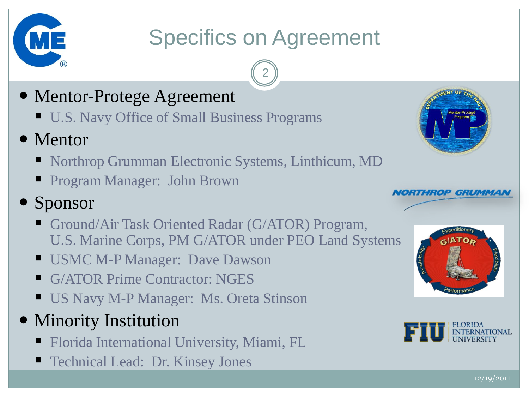

# Specifics on Agreement

2

### Mentor-Protege Agreement

- U.S. Navy Office of Small Business Programs
- Mentor
	- Northrop Grumman Electronic Systems, Linthicum, MD
	- **Program Manager: John Brown**
- Sponsor
	- Ground/Air Task Oriented Radar (G/ATOR) Program, U.S. Marine Corps, PM G/ATOR under PEO Land Systems
	- USMC M-P Manager: Dave Dawson
	- G/ATOR Prime Contractor: NGES
	- **US Navy M-P Manager: Ms. Oreta Stinson**
- Minority Institution
	- **Florida International University, Miami, FL**
	- Technical Lead: Dr. Kinsey Jones







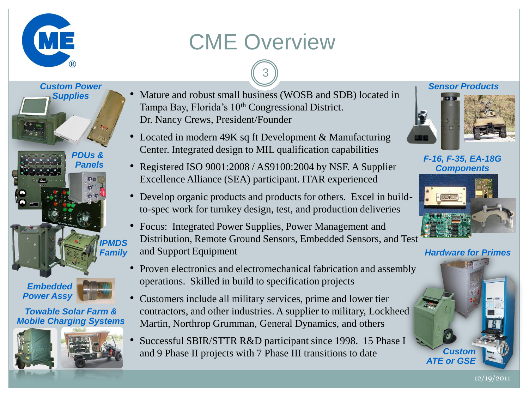# CME Overview





#### *Towable Solar Farm & Mobile Charging Systems*



• Mature and robust small business (WOSB and SDB) located in Tampa Bay, Florida's 10<sup>th</sup> Congressional District. Dr. Nancy Crews, President/Founder

3

- Located in modern 49K sq ft Development & Manufacturing Center. Integrated design to MIL qualification capabilities
- Registered ISO 9001:2008 / AS9100:2004 by NSF. A Supplier Excellence Alliance (SEA) participant. ITAR experienced
- Develop organic products and products for others. Excel in buildto-spec work for turnkey design, test, and production deliveries
- Focus: Integrated Power Supplies, Power Management and Distribution, Remote Ground Sensors, Embedded Sensors, and Test and Support Equipment
- Proven electronics and electromechanical fabrication and assembly operations. Skilled in build to specification projects
- Customers include all military services, prime and lower tier contractors, and other industries. A supplier to military, Lockheed Martin, Northrop Grumman, General Dynamics, and others
- Successful SBIR/STTR R&D participant since 1998. 15 Phase I and 9 Phase II projects with 7 Phase III transitions to date

#### *Sensor Products*



*F-16, F-35, EA-18G Components*



*Hardware for Primes*



12/19/2011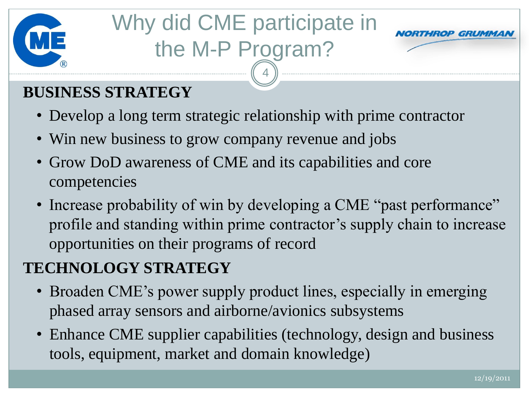

# Why did CME participate in the M-P Program?



### **BUSINESS STRATEGY**

• Develop a long term strategic relationship with prime contractor

4

- Win new business to grow company revenue and jobs
- Grow DoD awareness of CME and its capabilities and core competencies
- Increase probability of win by developing a CME "past performance" profile and standing within prime contractor's supply chain to increase opportunities on their programs of record

### **TECHNOLOGY STRATEGY**

- Broaden CME's power supply product lines, especially in emerging phased array sensors and airborne/avionics subsystems
- Enhance CME supplier capabilities (technology, design and business tools, equipment, market and domain knowledge)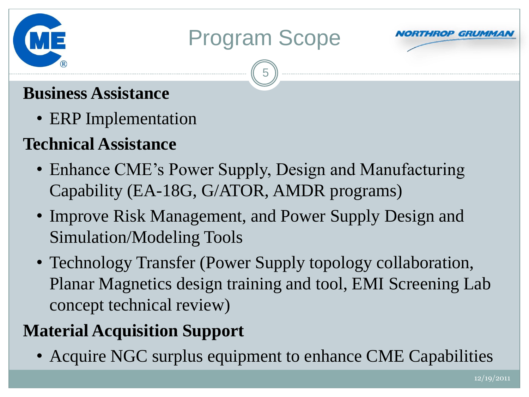

# Program Scope

5



### **Business Assistance**

- ERP Implementation
- **Technical Assistance**
	- Enhance CME's Power Supply, Design and Manufacturing Capability (EA-18G, G/ATOR, AMDR programs)
	- Improve Risk Management, and Power Supply Design and Simulation/Modeling Tools
	- Technology Transfer (Power Supply topology collaboration, Planar Magnetics design training and tool, EMI Screening Lab concept technical review)

## **Material Acquisition Support**

• Acquire NGC surplus equipment to enhance CME Capabilities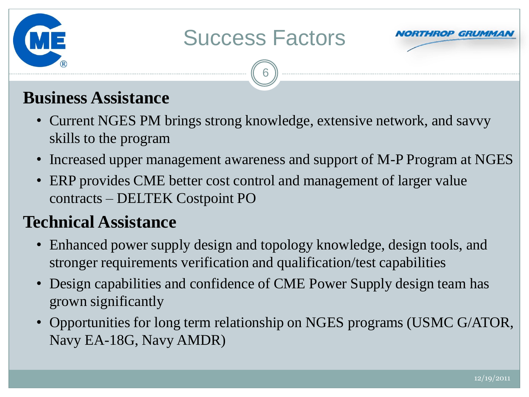# Success Factors



#### **Business Assistance**

• Current NGES PM brings strong knowledge, extensive network, and savvy skills to the program

6

- Increased upper management awareness and support of M-P Program at NGES
- ERP provides CME better cost control and management of larger value contracts – DELTEK Costpoint PO

#### **Technical Assistance**

- Enhanced power supply design and topology knowledge, design tools, and stronger requirements verification and qualification/test capabilities
- Design capabilities and confidence of CME Power Supply design team has grown significantly
- Opportunities for long term relationship on NGES programs (USMC G/ATOR, Navy EA-18G, Navy AMDR)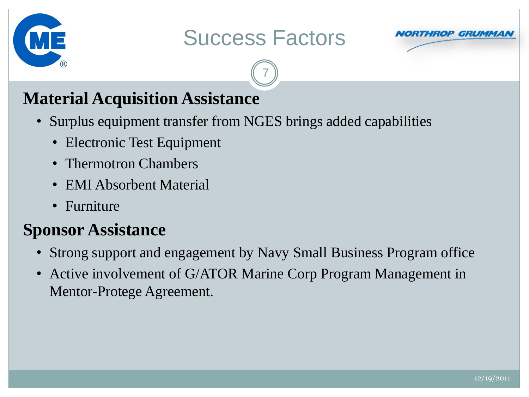

# Success Factors

7



### **Material Acquisition Assistance**

- Surplus equipment transfer from NGES brings added capabilities
	- Electronic Test Equipment
	- Thermotron Chambers
	- EMI Absorbent Material
	- Furniture

### **Sponsor Assistance**

- Strong support and engagement by Navy Small Business Program office
- Active involvement of G/ATOR Marine Corp Program Management in Mentor-Protege Agreement.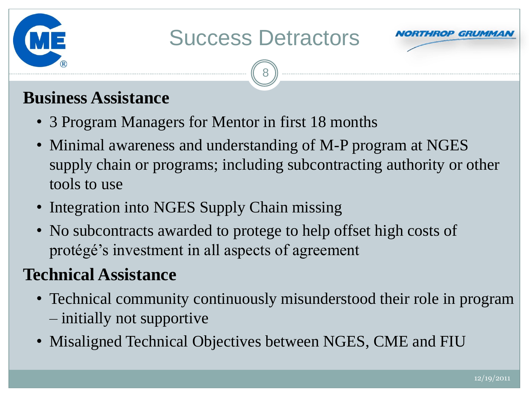

# Success Detractors

8



#### **Business Assistance**

- 3 Program Managers for Mentor in first 18 months
- Minimal awareness and understanding of M-P program at NGES supply chain or programs; including subcontracting authority or other tools to use
- Integration into NGES Supply Chain missing
- No subcontracts awarded to protege to help offset high costs of protégé's investment in all aspects of agreement

### **Technical Assistance**

- Technical community continuously misunderstood their role in program – initially not supportive
- Misaligned Technical Objectives between NGES, CME and FIU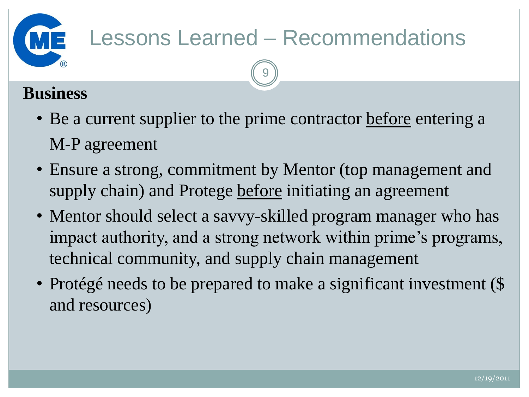### **Business**

• Be a current supplier to the prime contractor before entering a M-P agreement

9

- Ensure a strong, commitment by Mentor (top management and supply chain) and Protege before initiating an agreement
- Mentor should select a savvy-skilled program manager who has impact authority, and a strong network within prime's programs, technical community, and supply chain management
- Protégé needs to be prepared to make a significant investment (\$ and resources)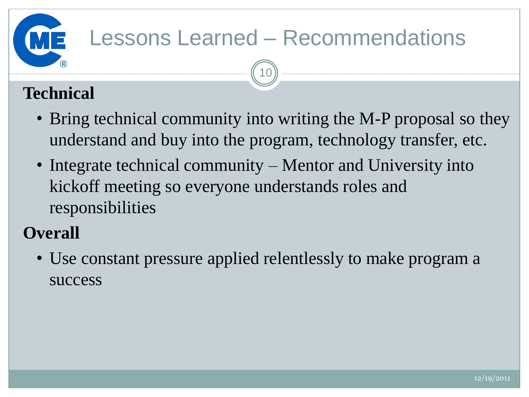10

### **Technical**

- Bring technical community into writing the M-P proposal so they understand and buy into the program, technology transfer, etc.
- Integrate technical community Mentor and University into kickoff meeting so everyone understands roles and responsibilities

### **Overall**

• Use constant pressure applied relentlessly to make program a success